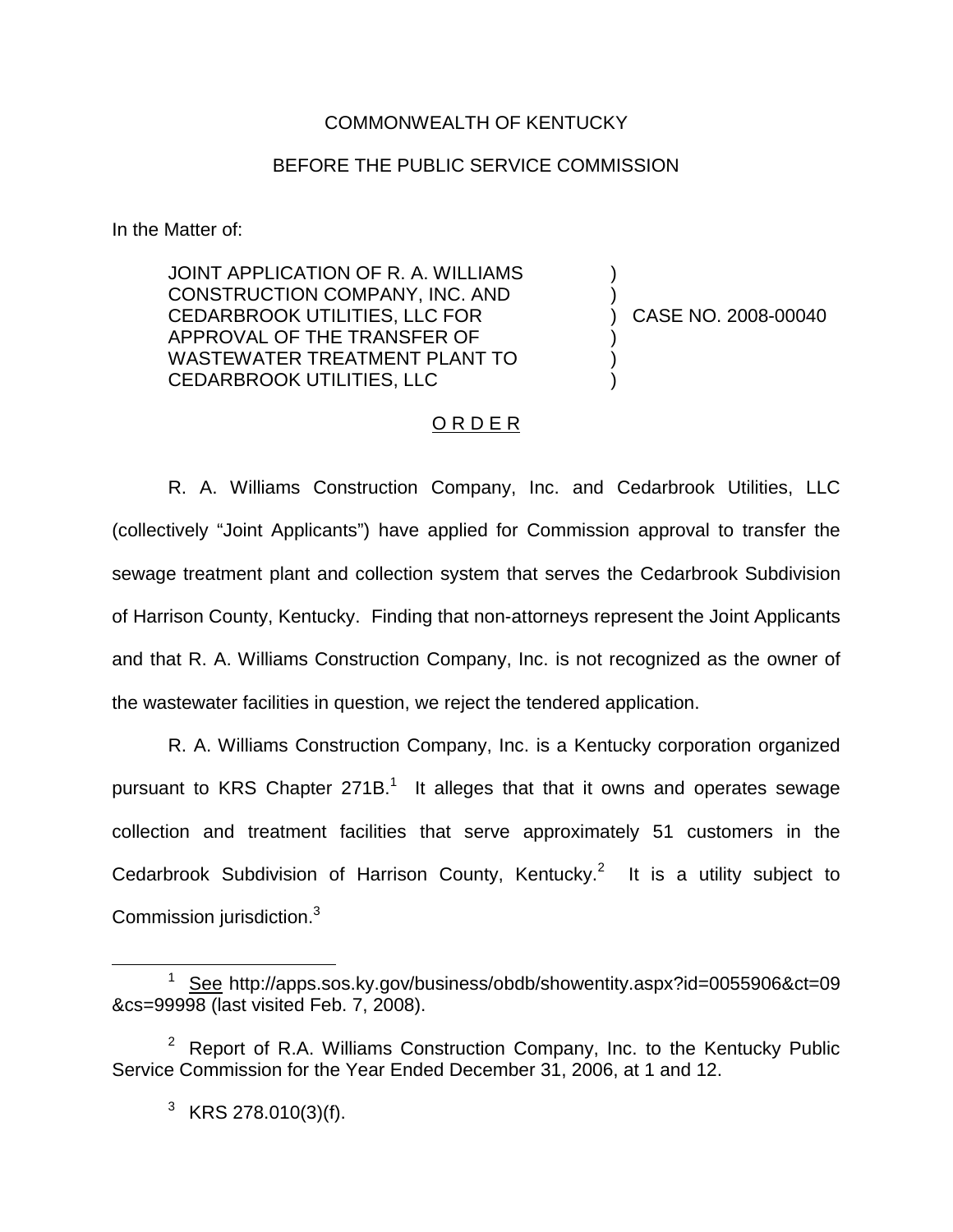## COMMONWEALTH OF KENTUCKY

## BEFORE THE PUBLIC SERVICE COMMISSION

In the Matter of:

JOINT APPLICATION OF R. A. WILLIAMS CONSTRUCTION COMPANY, INC. AND CEDARBROOK UTILITIES, LLC FOR APPROVAL OF THE TRANSFER OF WASTEWATER TREATMENT PLANT TO CEDARBROOK UTILITIES, LLC

) CASE NO. 2008-00040

) )

) ) )

## ORDER

R. A. Williams Construction Company, Inc. and Cedarbrook Utilities, LLC (collectively "Joint Applicants") have applied for Commission approval to transfer the sewage treatment plant and collection system that serves the Cedarbrook Subdivision of Harrison County, Kentucky. Finding that non-attorneys represent the Joint Applicants and that R. A. Williams Construction Company, Inc. is not recognized as the owner of the wastewater facilities in question, we reject the tendered application.

R. A. Williams Construction Company, Inc. is a Kentucky corporation organized pursuant to KRS Chapter  $271B<sup>1</sup>$  It alleges that that it owns and operates sewage collection and treatment facilities that serve approximately 51 customers in the Cedarbrook Subdivision of Harrison County, Kentucky.<sup>2</sup> It is a utility subject to Commission jurisdiction.<sup>3</sup>

<sup>1</sup> See http://apps.sos.ky.gov/business/obdb/showentity.aspx?id=0055906&ct=09 &cs=99998 (last visited Feb. 7, 2008).

<sup>&</sup>lt;sup>2</sup> Report of R.A. Williams Construction Company, Inc. to the Kentucky Public Service Commission for the Year Ended December 31, 2006, at 1 and 12.

 $3$  KRS 278.010(3)(f).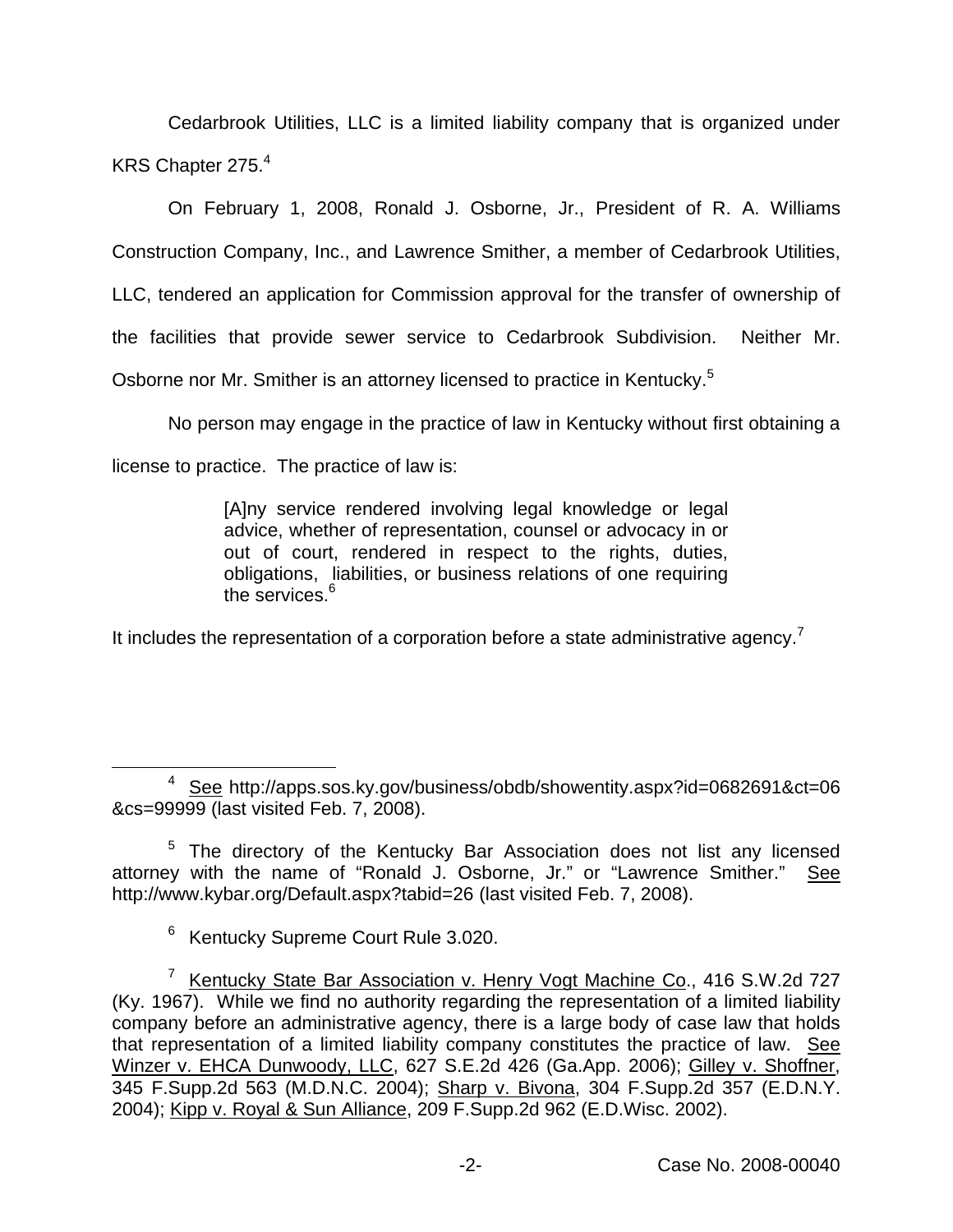Cedarbrook Utilities, LLC is a limited liability company that is organized under KRS Chapter 275.4

On February 1, 2008, Ronald J. Osborne, Jr., President of R. A. Williams Construction Company, Inc., and Lawrence Smither, a member of Cedarbrook Utilities, LLC, tendered an application for Commission approval for the transfer of ownership of the facilities that provide sewer service to Cedarbrook Subdivision. Neither Mr. Osborne nor Mr. Smither is an attorney licensed to practice in Kentucky.<sup>5</sup>

No person may engage in the practice of law in Kentucky without first obtaining a license to practice. The practice of law is:

> [A]ny service rendered involving legal knowledge or legal advice, whether of representation, counsel or advocacy in or out of court, rendered in respect to the rights, duties, obligations, liabilities, or business relations of one requiring the services.<sup>6</sup>

It includes the representation of a corporation before a state administrative agency.<sup>7</sup>

<sup>4</sup> See http://apps.sos.ky.gov/business/obdb/showentity.aspx?id=0682691&ct=06 &cs=99999 (last visited Feb. 7, 2008).

<sup>&</sup>lt;sup>5</sup> The directory of the Kentucky Bar Association does not list any licensed attorney with the name of "Ronald J. Osborne, Jr." or "Lawrence Smither." See http://www.kybar.org/Default.aspx?tabid=26 (last visited Feb. 7, 2008).

<sup>6</sup> Kentucky Supreme Court Rule 3.020.

<sup>&</sup>lt;sup>7</sup> Kentucky State Bar Association v. Henry Vogt Machine Co., 416 S.W.2d 727 (Ky. 1967). While we find no authority regarding the representation of a limited liability company before an administrative agency, there is a large body of case law that holds that representation of a limited liability company constitutes the practice of law. See Winzer v. EHCA Dunwoody, LLC, 627 S.E.2d 426 (Ga.App. 2006); Gilley v. Shoffner, 345 F.Supp.2d 563 (M.D.N.C. 2004); Sharp v. Bivona, 304 F.Supp.2d 357 (E.D.N.Y. 2004); Kipp v. Royal & Sun Alliance, 209 F.Supp.2d 962 (E.D.Wisc. 2002).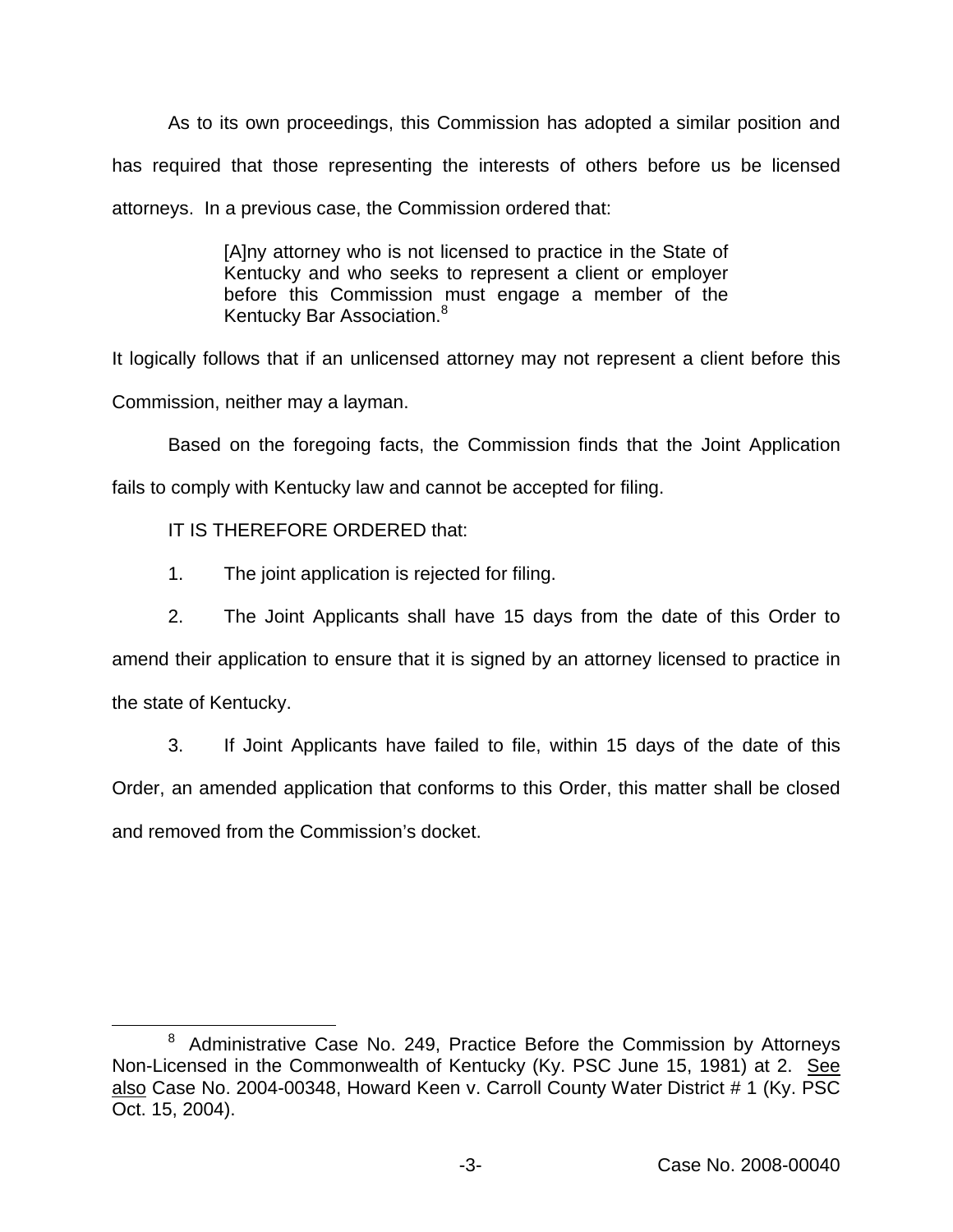As to its own proceedings, this Commission has adopted a similar position and has required that those representing the interests of others before us be licensed attorneys. In a previous case, the Commission ordered that:

> [A]ny attorney who is not licensed to practice in the State of Kentucky and who seeks to represent a client or employer before this Commission must engage a member of the Kentucky Bar Association.<sup>8</sup>

It logically follows that if an unlicensed attorney may not represent a client before this Commission, neither may a layman.

Based on the foregoing facts, the Commission finds that the Joint Application fails to comply with Kentucky law and cannot be accepted for filing.

IT IS THEREFORE ORDERED that:

- 1. The joint application is rejected for filing.
- 2. The Joint Applicants shall have 15 days from the date of this Order to

amend their application to ensure that it is signed by an attorney licensed to practice in the state of Kentucky.

3. If Joint Applicants have failed to file, within 15 days of the date of this Order, an amended application that conforms to this Order, this matter shall be closed and removed from the Commission's docket.

 $8$  Administrative Case No. 249, Practice Before the Commission by Attorneys Non-Licensed in the Commonwealth of Kentucky (Ky. PSC June 15, 1981) at 2. See also Case No. 2004-00348, Howard Keen v. Carroll County Water District # 1 (Ky. PSC Oct. 15, 2004).